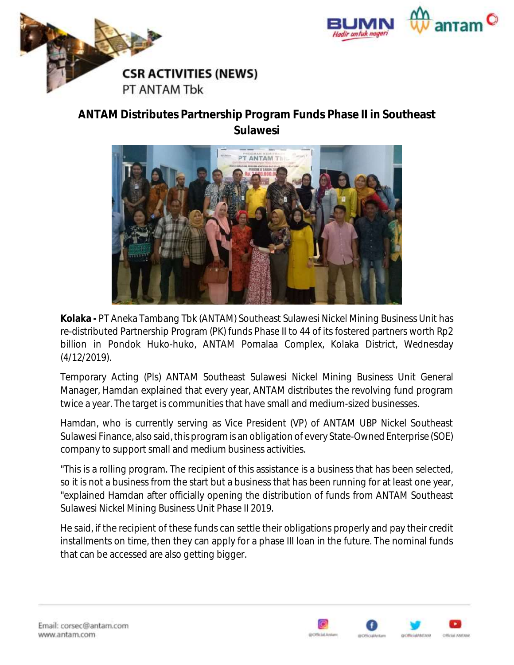



## **ANTAM Distributes Partnership Program Funds Phase II in Southeast Sulawesi**



**Kolaka -** PT Aneka Tambang Tbk (ANTAM) Southeast Sulawesi Nickel Mining Business Unit has re-distributed Partnership Program (PK) funds Phase II to 44 of its fostered partners worth Rp2 billion in Pondok Huko-huko, ANTAM Pomalaa Complex, Kolaka District, Wednesday (4/12/2019).

Temporary Acting (Pls) ANTAM Southeast Sulawesi Nickel Mining Business Unit General Manager, Hamdan explained that every year, ANTAM distributes the revolving fund program twice a year. The target is communities that have small and medium-sized businesses.

Hamdan, who is currently serving as Vice President (VP) of ANTAM UBP Nickel Southeast Sulawesi Finance, also said, this program is an obligation of every State-Owned Enterprise (SOE) company to support small and medium business activities.

"This is a rolling program. The recipient of this assistance is a business that has been selected, so it is not a business from the start but a business that has been running for at least one year, "explained Hamdan after officially opening the distribution of funds from ANTAM Southeast Sulawesi Nickel Mining Business Unit Phase II 2019.

He said, if the recipient of these funds can settle their obligations properly and pay their credit installments on time, then they can apply for a phase III loan in the future. The nominal funds that can be accessed are also getting bigger.